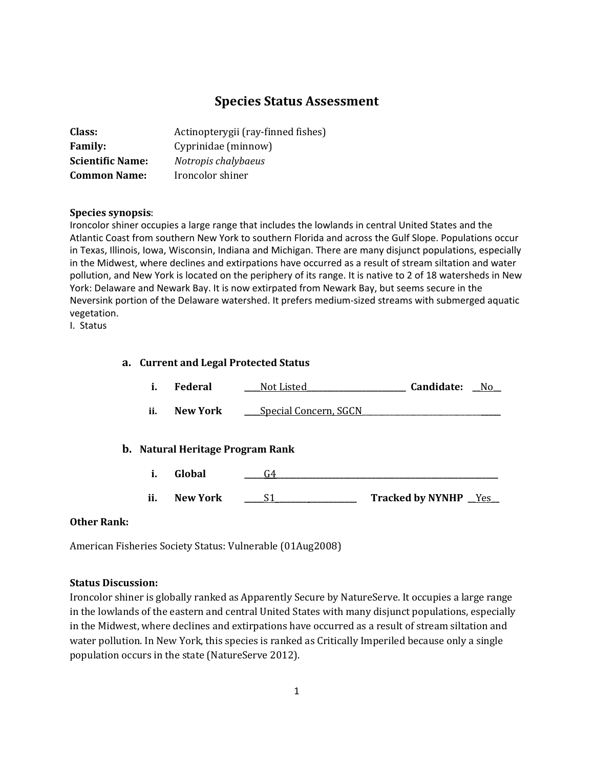# **Species Status Assessment**

| <b>Class:</b>           | Actinopterygii (ray-finned fishes) |
|-------------------------|------------------------------------|
| <b>Family:</b>          | Cyprinidae (minnow)                |
| <b>Scientific Name:</b> | Notropis chalybaeus                |
| <b>Common Name:</b>     | Ironcolor shiner                   |

#### **Species synopsis**:

Ironcolor shiner occupies a large range that includes the lowlands in central United States and the Atlantic Coast from southern New York to southern Florida and across the Gulf Slope. Populations occur in Texas, Illinois, Iowa, Wisconsin, Indiana and Michigan. There are many disjunct populations, especially in the Midwest, where declines and extirpations have occurred as a result of stream siltation and water pollution, and New York is located on the periphery of its range. It is native to 2 of 18 watersheds in New York: Delaware and Newark Bay. It is now extirpated from Newark Bay, but seems secure in the Neversink portion of the Delaware watershed. It prefers medium-sized streams with submerged aquatic vegetation.

I. Status

## **a. Current and Legal Protected Status**

| i.  | <b>Federal</b>  | Not Listed                              | Candidate:<br>N <sub>0</sub> |
|-----|-----------------|-----------------------------------------|------------------------------|
| ii. | <b>New York</b> | Special Concern, SGCN                   |                              |
|     |                 | <b>b.</b> Natural Heritage Program Rank |                              |
| i.  | Global          | G4                                      |                              |
| ii. | <b>New York</b> | S1                                      | <b>Tracked by NYNHP</b> Yes  |

## **Other Rank:**

American Fisheries Society Status: Vulnerable (01Aug2008)

#### **Status Discussion:**

Ironcolor shiner is globally ranked as Apparently Secure by NatureServe. It occupies a large range in the lowlands of the eastern and central United States with many disjunct populations, especially in the Midwest, where declines and extirpations have occurred as a result of stream siltation and water pollution. In New York, this species is ranked as Critically Imperiled because only a single population occurs in the state (NatureServe 2012).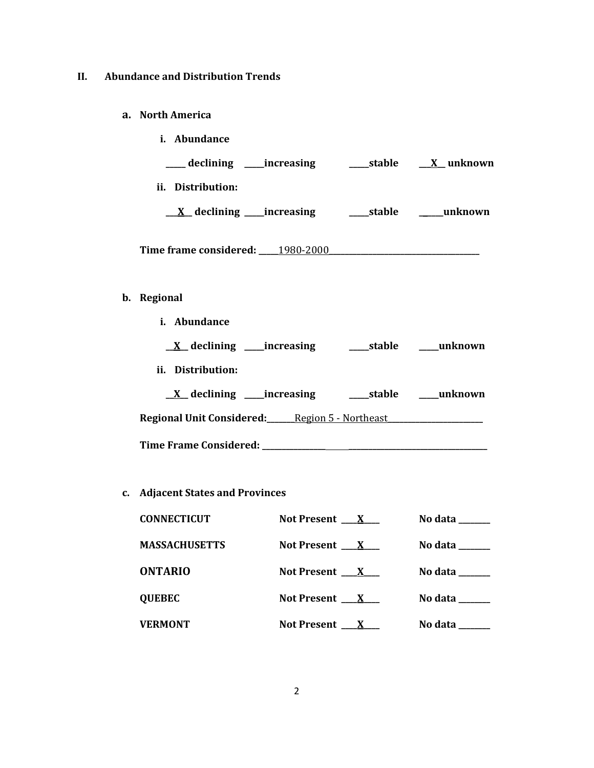# **II. Abundance and Distribution Trends**

## **a. North America**

| <i>i.</i> Abundance               |        |                  |
|-----------------------------------|--------|------------------|
| ____ declining _____increasing    | stable | <u>X</u> unknown |
| ii. Distribution:                 |        |                  |
| <u>X</u> declining ____increasing |        | stable unknown   |
| Time frame considered: 1980-2000  |        |                  |
|                                   |        |                  |

# **b. Regional**

| <i>i.</i> Abundance                                   |                |
|-------------------------------------------------------|----------------|
| <u>X</u> declining _____increasing                    |                |
| ii. Distribution:                                     |                |
| $X$ declining _____increasing                         | stable unknown |
| <b>Regional Unit Considered:</b> Region 5 - Northeast |                |
|                                                       |                |

# **c. Adjacent States and Provinces**

| <b>CONNECTICUT</b>   | Not Present $\mathbf{X}$ | No data ______                                                           |
|----------------------|--------------------------|--------------------------------------------------------------------------|
| <b>MASSACHUSETTS</b> | Not Present $X$          | No data $\_\_\_\_\_\_\_\_\_\_\_\_\_\_\_\_\_\_\_\_\_\_\_\_\_\_\_\_\_\_\_$ |
| <b>ONTARIO</b>       | Not Present $\mathbf{X}$ | No data $\_\_\_\_\_\_\_\_\_\_\_\_\_\_\_\_\_\_\_\_\_\_\_\_\_\_\_\_\_\_\_$ |
| <b>QUEBEC</b>        | Not Present $X$          | No data                                                                  |
| <b>VERMONT</b>       | Not Present $\mathbf{X}$ | No data                                                                  |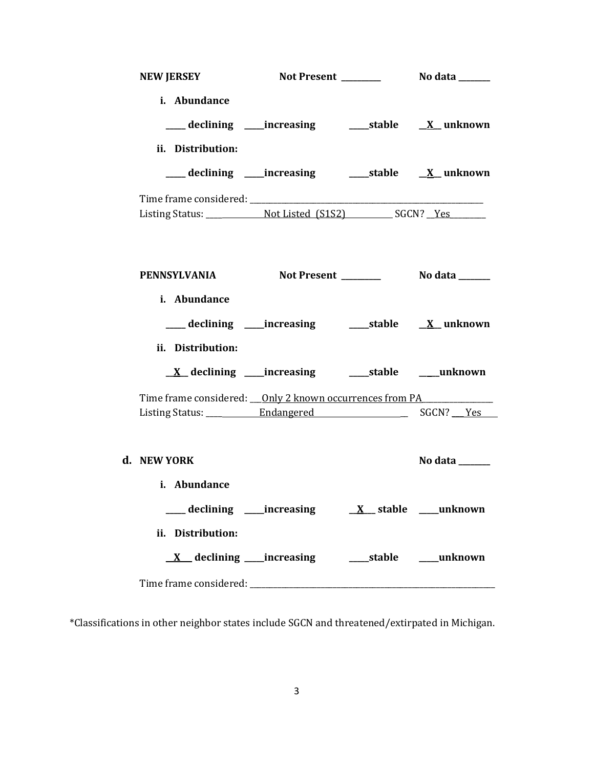| <b>NEW JERSEY</b>                                                                |                                                                    |                       |
|----------------------------------------------------------------------------------|--------------------------------------------------------------------|-----------------------|
| i. Abundance<br>ii. Distribution:                                                | ___ declining ____increasing ______stable ___ <u>X</u> __ unknown  |                       |
|                                                                                  | ___ declining ____increasing ______stable ______X__ unknown        |                       |
|                                                                                  |                                                                    |                       |
| <b>PENNSYLVANIA</b>                                                              |                                                                    |                       |
| i. Abundance                                                                     | ___ declining ____increasing _______stable ___ <u>X_</u> _ unknown |                       |
| ii. Distribution:                                                                |                                                                    |                       |
| Time frame considered: ___ Only 2 known occurrences from PA_____________________ |                                                                    |                       |
| d. NEW YORK                                                                      |                                                                    | No data $\frac{1}{2}$ |
| i. Abundance<br>ii. Distribution:                                                |                                                                    |                       |
|                                                                                  |                                                                    |                       |

\*Classifications in other neighbor states include SGCN and threatened/extirpated in Michigan.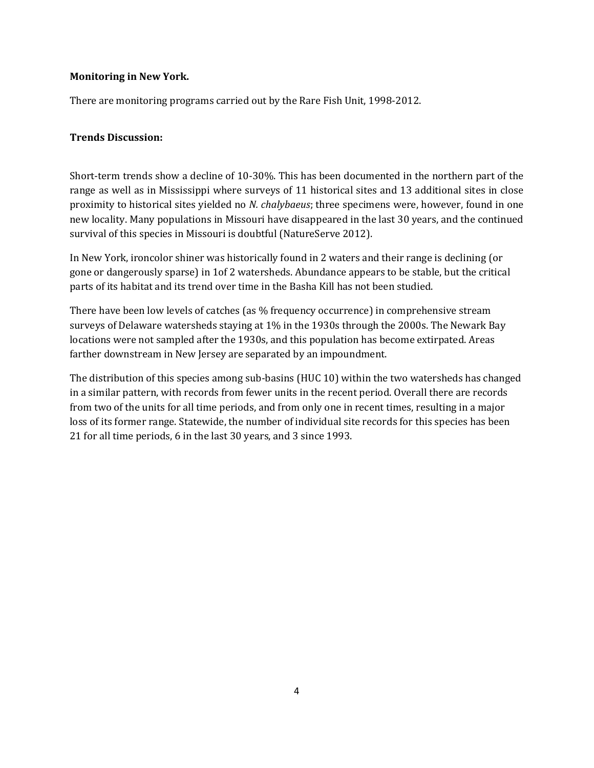## **Monitoring in New York.**

There are monitoring programs carried out by the Rare Fish Unit, 1998-2012.

## **Trends Discussion:**

Short-term trends show a decline of 10-30%. This has been documented in the northern part of the range as well as in Mississippi where surveys of 11 historical sites and 13 additional sites in close proximity to historical sites yielded no *N. chalybaeus*; three specimens were, however, found in one new locality. Many populations in Missouri have disappeared in the last 30 years, and the continued survival of this species in Missouri is doubtful (NatureServe 2012).

In New York, ironcolor shiner was historically found in 2 waters and their range is declining (or gone or dangerously sparse) in 1of 2 watersheds. Abundance appears to be stable, but the critical parts of its habitat and its trend over time in the Basha Kill has not been studied.

There have been low levels of catches (as % frequency occurrence) in comprehensive stream surveys of Delaware watersheds staying at 1% in the 1930s through the 2000s. The Newark Bay locations were not sampled after the 1930s, and this population has become extirpated. Areas farther downstream in New Jersey are separated by an impoundment.

The distribution of this species among sub-basins (HUC 10) within the two watersheds has changed in a similar pattern, with records from fewer units in the recent period. Overall there are records from two of the units for all time periods, and from only one in recent times, resulting in a major loss of its former range. Statewide, the number of individual site records for this species has been 21 for all time periods, 6 in the last 30 years, and 3 since 1993.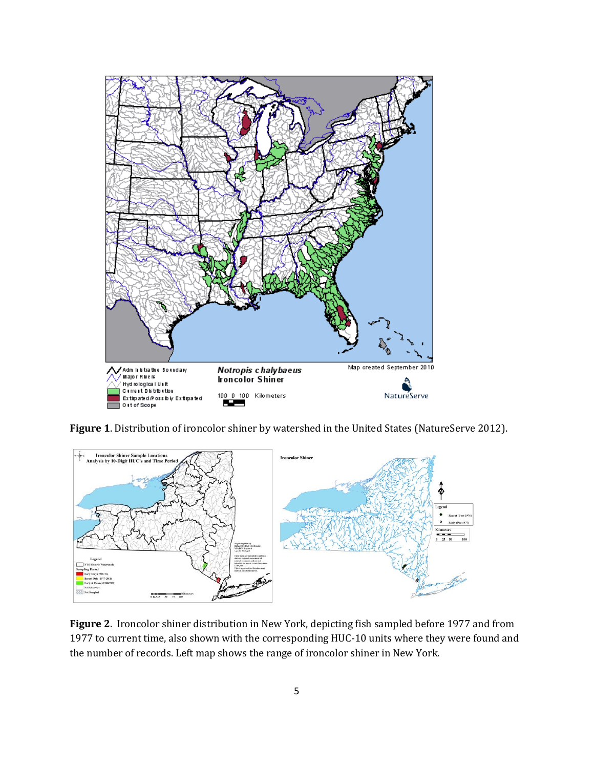

**Figure 1**. Distribution of ironcolor shiner by watershed in the United States (NatureServe 2012).



**Figure 2**. Ironcolor shiner distribution in New York, depicting fish sampled before 1977 and from 1977 to current time, also shown with the corresponding HUC-10 units where they were found and the number of records. Left map shows the range of ironcolor shiner in New York.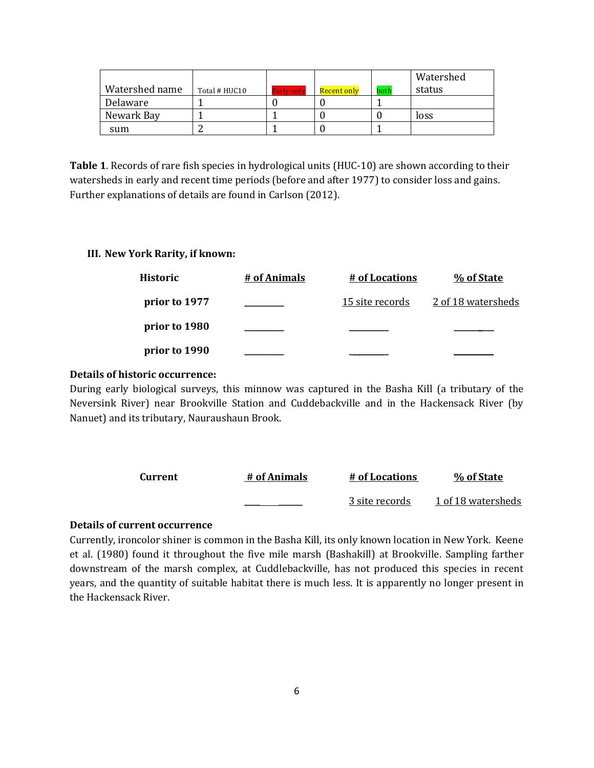|                |               |                   |             |      | Watershed |
|----------------|---------------|-------------------|-------------|------|-----------|
| Watershed name | Total # HUC10 | <b>Early only</b> | Recent only | both | status    |
| Delaware       |               |                   |             |      |           |
| Newark Bay     |               |                   |             |      | loss      |
| sum            |               |                   |             |      |           |

**Table 1**. Records of rare fish species in hydrological units (HUC-10) are shown according to their watersheds in early and recent time periods (before and after 1977) to consider loss and gains. Further explanations of details are found in Carlson (2012).

#### **III. New York Rarity, if known:**

| <b>Historic</b> | # of Animals | # of Locations  | % of State         |
|-----------------|--------------|-----------------|--------------------|
| prior to 1977   |              | 15 site records | 2 of 18 watersheds |
| prior to 1980   |              |                 |                    |
| prior to 1990   |              |                 |                    |

## **Details of historic occurrence:**

During early biological surveys, this minnow was captured in the Basha Kill (a tributary of the Neversink River) near Brookville Station and Cuddebackville and in the Hackensack River (by Nanuet) and its tributary, Nauraushaun Brook.

| Current | # of Animals | # of Locations | % of State         |
|---------|--------------|----------------|--------------------|
|         |              | 3 site records | 1 of 18 watersheds |

## **Details of current occurrence**

Currently, ironcolor shiner is common in the Basha Kill, its only known location in New York. Keene et al. (1980) found it throughout the five mile marsh (Bashakill) at Brookville. Sampling farther downstream of the marsh complex, at Cuddlebackville, has not produced this species in recent years, and the quantity of suitable habitat there is much less. It is apparently no longer present in the Hackensack River.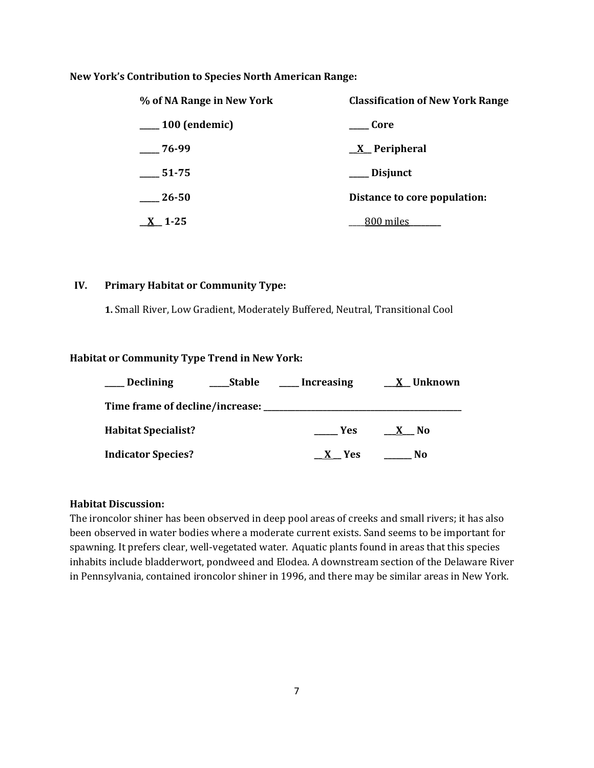#### **New York's Contribution to Species North American Range:**

| % of NA Range in New York   | <b>Classification of New York Range</b> |
|-----------------------------|-----------------------------------------|
| <sub>__</sub> 100 (endemic) | <b>Core</b>                             |
| $-76-99$                    | $\underline{X}$ Peripheral              |
| 51-75                       | __ Disjunct                             |
| $-26-50$                    | Distance to core population:            |
| $X_{-}$ 1-25                | 800 miles                               |

#### **IV. Primary Habitat or Community Type:**

**1.** Small River, Low Gradient, Moderately Buffered, Neutral, Transitional Cool

#### **Habitat or Community Type Trend in New York:**

| <b>Declining</b>                   | <b>Stable</b> | Increasing | X Unknown           |
|------------------------------------|---------------|------------|---------------------|
| Time frame of decline/increase: __ |               |            |                     |
| <b>Habitat Specialist?</b>         |               | <b>Yes</b> | No.<br>$\mathbf{X}$ |
| <b>Indicator Species?</b>          |               | X Yes      | No                  |

### **Habitat Discussion:**

The ironcolor shiner has been observed in deep pool areas of creeks and small rivers; it has also been observed in water bodies where a moderate current exists. Sand seems to be important for spawning. It prefers clear, well-vegetated water. Aquatic plants found in areas that this species inhabits include bladderwort, pondweed and Elodea. A downstream section of the Delaware River in Pennsylvania, contained ironcolor shiner in 1996, and there may be similar areas in New York.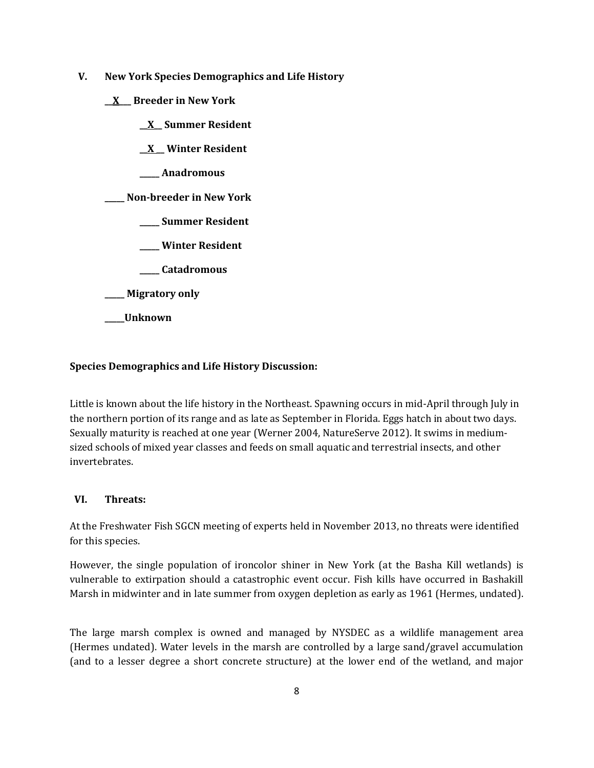- **V. New York Species Demographics and Life History**
	- **\_\_X\_\_\_ Breeder in New York**
		- **\_\_X\_\_ Summer Resident**

**\_\_X \_\_ Winter Resident**

**\_\_\_\_\_ Anadromous**

**\_\_\_\_\_ Non-breeder in New York**

- **\_\_\_\_\_ Summer Resident**
- **\_\_\_\_\_ Winter Resident**
- **\_\_\_\_\_ Catadromous**
- **\_\_\_\_\_ Migratory only**
- **\_\_\_\_\_Unknown**

# **Species Demographics and Life History Discussion:**

Little is known about the life history in the Northeast. Spawning occurs in mid-April through July in the northern portion of its range and as late as September in Florida. Eggs hatch in about two days. Sexually maturity is reached at one year (Werner 2004, NatureServe 2012). It swims in mediumsized schools of mixed year classes and feeds on small aquatic and terrestrial insects, and other invertebrates.

## **VI. Threats:**

At the Freshwater Fish SGCN meeting of experts held in November 2013, no threats were identified for this species.

However, the single population of ironcolor shiner in New York (at the Basha Kill wetlands) is vulnerable to extirpation should a catastrophic event occur. Fish kills have occurred in Bashakill Marsh in midwinter and in late summer from oxygen depletion as early as 1961 (Hermes, undated).

The large marsh complex is owned and managed by NYSDEC as a wildlife management area (Hermes undated). Water levels in the marsh are controlled by a large sand/gravel accumulation (and to a lesser degree a short concrete structure) at the lower end of the wetland, and major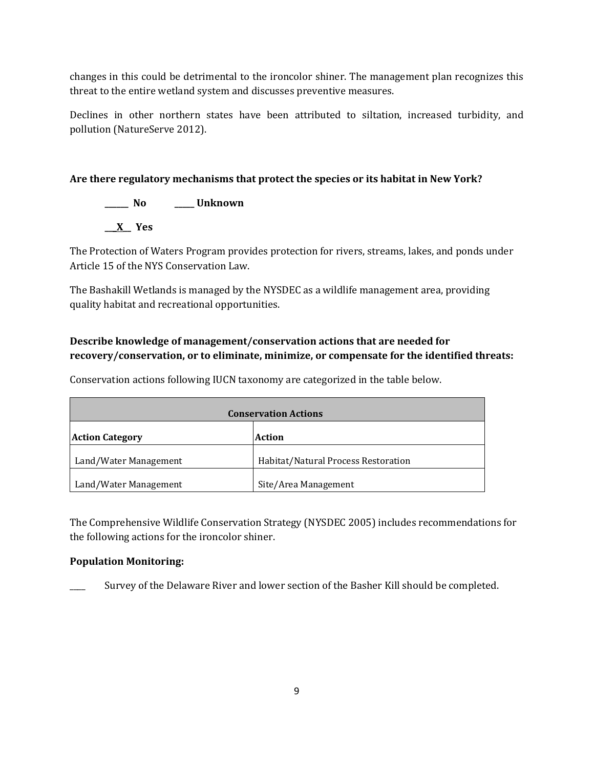changes in this could be detrimental to the ironcolor shiner. The management plan recognizes this threat to the entire wetland system and discusses preventive measures.

Declines in other northern states have been attributed to siltation, increased turbidity, and pollution (NatureServe 2012).

# **Are there regulatory mechanisms that protect the species or its habitat in New York?**

**\_\_\_\_\_\_ No \_\_\_\_\_ Unknown \_\_\_X\_\_ Yes** 

The Protection of Waters Program provides protection for rivers, streams, lakes, and ponds under Article 15 of the NYS Conservation Law.

The Bashakill Wetlands is managed by the NYSDEC as a wildlife management area, providing quality habitat and recreational opportunities.

# **Describe knowledge of management/conservation actions that are needed for recovery/conservation, or to eliminate, minimize, or compensate for the identified threats:**

**Conservation Actions Action Category Action** Land/Water Management Habitat/Natural Process Restoration Land/Water Management Site/Area Management

Conservation actions following IUCN taxonomy are categorized in the table below.

The Comprehensive Wildlife Conservation Strategy (NYSDEC 2005) includes recommendations for the following actions for the ironcolor shiner.

# **Population Monitoring:**

Survey of the Delaware River and lower section of the Basher Kill should be completed.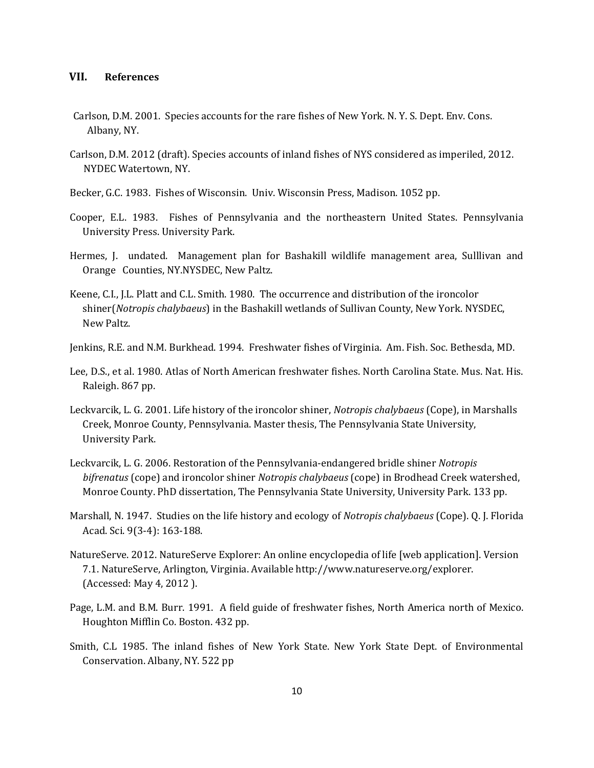#### **VII. References**

- Carlson, D.M. 2001. Species accounts for the rare fishes of New York. N. Y. S. Dept. Env. Cons. Albany, NY.
- Carlson, D.M. 2012 (draft). Species accounts of inland fishes of NYS considered as imperiled, 2012. NYDEC Watertown, NY.
- Becker, G.C. 1983. Fishes of Wisconsin. Univ. Wisconsin Press, Madison. 1052 pp.
- Cooper, E.L. 1983. Fishes of Pennsylvania and the northeastern United States. Pennsylvania University Press. University Park.
- Hermes, J. undated. Management plan for Bashakill wildlife management area, Sulllivan and Orange Counties, NY.NYSDEC, New Paltz.
- Keene, C.I., J.L. Platt and C.L. Smith. 1980. The occurrence and distribution of the ironcolor shiner(*Notropis chalybaeus*) in the Bashakill wetlands of Sullivan County, New York. NYSDEC, New Paltz.
- Jenkins, R.E. and N.M. Burkhead. 1994. Freshwater fishes of Virginia. Am. Fish. Soc. Bethesda, MD.
- Lee, D.S., et al. 1980. Atlas of North American freshwater fishes. North Carolina State. Mus. Nat. His. Raleigh. 867 pp.
- Leckvarcik, L. G. 2001. Life history of the ironcolor shiner, *Notropis chalybaeus* (Cope), in Marshalls Creek, Monroe County, Pennsylvania. Master thesis, The Pennsylvania State University, University Park.
- Leckvarcik, L. G. 2006. Restoration of the Pennsylvania-endangered bridle shiner *Notropis bifrenatus* (cope) and ironcolor shiner *Notropis chalybaeus* (cope) in Brodhead Creek watershed, Monroe County. PhD dissertation, The Pennsylvania State University, University Park. 133 pp.
- Marshall, N. 1947. Studies on the life history and ecology of *Notropis chalybaeus* (Cope). Q. J. Florida Acad. Sci. 9(3-4): 163-188.
- NatureServe. 2012. NatureServe Explorer: An online encyclopedia of life [web application]. Version 7.1. NatureServe, Arlington, Virginia. Available http://www.natureserve.org/explorer. (Accessed: May 4, 2012 ).
- Page, L.M. and B.M. Burr. 1991. A field guide of freshwater fishes, North America north of Mexico. Houghton Mifflin Co. Boston. 432 pp.
- Smith, C.L 1985. The inland fishes of New York State. New York State Dept. of Environmental Conservation. Albany, NY. 522 pp